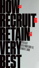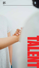



TALET ER OP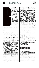

#### race yourself.

It's time to change and we mean radically change — how you recruit and retain people.

What's worked before doesn't work anymore.

(If you're honest, you have to admit that the old way never really worked predictably all that well anyway, right?)

"Businesses have never done as much hiring as they do today. They've never spent as much money

doing it. And they've never done a worse job of it," wrote Professor Peter Cappelli, Director of the Wharton Business Schools Center for Human Resources, in The Harvard Business Review.

Everything has changed — the skills we need, the type of people we need, the way they communicate, their needs, their values, the workplace, the pace of change, the ability to predict performance, the availability of data that can take much of the guesswork out of recruiting and retaining, our ability to be flexible about so many things that used to be rigid.

The new work environment, the new work force, the new skill sets, and tight job market all force us to make a choice: Change the way we recruit and retain people, or lose potential key hires and essential existing staff to more open, flexible, employee-focused, appealing organisations focused on using data to make their recruiting and retention efforts more predictably successful.

We can only succeed in this talent market if we radically reimagine our recruitment and retention practices and polices, and that starts with reimagining our corporate culture.

This change and the others that must follow it will require open minds, flexibility, transparency, new roles, and a willingness to part with comfortable but increasingly ineffective and counter-productive recruitment and retention practices.

Here's an illustration of one of the most important changes you'll have to be making, one you probably won't like, one you might initially think is totally bogus: Human analytics. Human analytics is the use of data and data analysis

techniques to understand, improve, and optimise the people side of business from recruiting to retention.

In terms of recruiting, human analytics has already proven its effectiveness.

The US-based National Bureau of Economic Research did a study of 300,000 hires in high-turnover jobs at 15 companies. In those hires, the researchers pitted a hiring process using human experience, instinct, and judgment against a hiring process using a human analytics algorithm. The result? The homo sapiens were routed. Employees chosen by the algorithms stayed on the job far longer and had performance evaluations equal to or better than those chosen by humans.

And that wasn't the only such study. In a University of Minnesota examination of 17 studies that compared the hiring success rates of algorithms v. humans, the algorithms outperformed humans by at least 25%. "The effect holds in any situation with a large number of candidates, regardless of whether the job is on the front line, in middle management, or (yes) in the C-suite," according to the study authors.

That's not to say humans weren't involved in the algorithm-based decisions, but their choices were deeply influenced by the algorithm's recommendations.

Need another push toward human data analytics? How about this: A recent Deloitte report found that organisations using people analytics appropriately reported 82% higher three-year average profit than those who have not yet adopted data analytic strategies or who are not using them correctly.

So, are you ready for this new future of recruiting and retention?

Let's start with recruiting.



First, let's set the table stakes.

The unavailability of talent and skills is only the biggest threat to our businesses, according a recent PwC CEO Survey.

Why is talent so important?

"Superior talent is up to eight times more productive," wrote McKinsey Senior Partners Scott Keller and Mary Meaney in their book Leading Organisations. "It's remarkable how much of a productivity kicker an organisation gets from top talent. A recent study of more than 600,000 researchers, entertainers, politi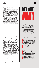cians, and athletes found that high performers are 400% more productive than average ones.

"Studies of businesses not only show similar results but also reveal that the gap rises with a job's complexity," Keller and Meaney wrote. "In highly complex occupations — the information- and interaction-intensive work of managers, software developers, and the like — high performers are an astounding 800% more productive.

"Suppose your business strategy involves cross-functional initiatives that would take three years to complete," they wrote. "If you took 20% of the average talent working on the project and replaced it with great talent, how soon would you achieve the desired impact? If these people were 400% more productive, it would take less than two years; if they were 800% more productive, it would take less than one. If a competitor used 20% more great talent in similar efforts, they would beat you to market even if they started a year or two later.

"You get even more remarkable results comparing the productivity of the top and bottom 1%," wrote Keller and Meaney. "For unskilled and semi-skilled jobs, the top 1% are three times more productive; for jobs of middling complexity (say, technicians and supervisors), 12 times more. One person in the top 1% is worth 12 in the bottom 1%. For high-complexity jobs, the differential is so big it can't be quantified."

The late Steve Jobs put it succinctly: "Go after the cream of the cream. A small team of A+ players can run circles around a giant team of B and C players." There's not much disagreement about the benefits of hiring the best and the need to do so.

Incredibly, there is also almost universal agreement that we aren't doing a good job.

Despite the acknowledged importance of top talent, "a whopping 82% of companies don't believe they recruit highly talented people," wrote Keller and Meaney. "For companies that do, only 7% think they can keep it. More alarmingly, only 23% of managers and senior executives active on talent-related topics believe their current acquisition and retention strategies will work."

As we all know, it's not easy.

In many countries around the world, unemployment is low and the people with the skill sets we need are, in many cases, already working for a competitor or in a related industry or at a high tech company.

How do we entice them to our media company, especially with the relentlessly negative press our industry has been getting for two decades?



**It's a very safe statement to say that most of us do not have enough diversity in our staff, most universally with an under-representation of women. Here are some tips on recruiting women from Sarah O'Brien, head of global insights at LinkedIn, writing in** *The Harvard Business Review* **in late 2019:** 

**1 Make job postings more inclusive. Focus job descriptions on the expectations of the role. Remove language like "rock star" and "ninja" that tends to alienate female applicants, and use more straightforward job titles and descriptions. In our Language Matters Report, we found that 44% of women would be discouraged from applying to a job if the description included the word "aggressive."**

**2 collateral, they're more likely to apply. Share stories of women who are succeeding across all levels of your organisation. When women see themselves represented in your firm's recruiting** 

**Post salary range<br>
When an employ<br>
salary transparer<br>
ranges, it's a sign<br>
committed to fair pay. Post salary ranges for positions. When an employer is upfront about salary transparency and shares salary ranges, it's a signal that they are** 

**4 Highlight your flexibility: Our Language Matters Report also found that jobs that promoted flexible work, working from home, and additional medical benefits were the most popular among women.**

**Expand your early-in-career talent<br>funnel. Blizzard Entertainment, the<br>video game publisher behind World<br>of Warcraft, increased its number of<br>female interns by 166% by reaching out to Expand your early-in-career talent funnel. Blizzard Entertainment, the video game publisher behind World of Warcraft, increased its number of on-campus women-led groups such as the "Women in Computer Science" club.**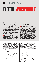# HOW TO SET UP A MENTORSHIP PROGRAM

**"A clear career path is important but so is the idea that the company you are working for is invested in your professional growth and development," wrote Jami Oetting, Senior Manager of HubSpot's Multimedia Content Strategy Team. "When you have a mentor who is removed from judging your performance, it makes it easier to ask those questions, vent about small things, and open up about fears, worries, and the inevitable stumbles.**

**"By pairing a person up with someone from another department or team, you are exposing the employee to new knowledge about the way the business is run, people with different ideas and perspectives about the industry, and new opportunities," she wrote. "This is especially important for people who may love the company but have found out that they are just not passionate about their current position." Here are her tips:**

1 **MATCH PEOPLE BY INTERESTS OR WHAT THEY WANT TO ACHIEVE**

2 **DON'T FORCE IT, BUT MAKE IT SERIOUS Don't make the mentorship mandatory but insist that mentors and mentees make a commitment. Have them sign a "contract" that states that they**  **will make the programme a priority and honour their commitments to one another.**

3 **EMPOWER THE MENTEE TO TAKE CHARGE The mentee should be responsible for setting the time and date of the meetings. Give each mentee a Starbucks coffee card so they could be seen as the one "taking out" their mentor.**

4 **CREATE STRUCTURE, BUT NOT TOO MUCH In the contract, set up expectations (eg, meet once a month for a year). Also make sure the meetings take place off-site.**

5 **ALLOW FOR REVERSE MENTORING Mentoring isn't just for new or young employees. Marla Kaplowitz, CEO of leading agency MEC North America, wanted to connect with today's tech-savvy generation to better understand how they are truly using and connecting with new and emerging tools and technology. She joked that her mentor would have to be open to "teaching an old dog some new tricks." Getting senior leadership involved in any type of formal programme shows the team that this is a priority for the agency and that there is no end to learning and professional development for employees.**

We must make our companies appealing places to work. We must remake our company's culture to be employee-focused. And then, we must market the hell out of that to attract the people we want. "Good help isn't hard to find when top talent looks for you," wrote business author Jim Molis in the US-based Business **Journals** 

That top talent is looking for very specific characteristics and opportunities in the company they would consider joining: A mission they can believe in, a positive culture, stimulating challenges, professional growth, mentorship, competitive pay, rewards for excellence, advancement opportunities, flexible work hours and locations, and more.

"Benefits, location and commute time are increasingly important factors," CareerBuilder CEO Irina Novoselsky told The Business

Journals. "To attract and retain talent, hiring managers will need to meet workers' hiring, on-boarding and career expectations, and provide the perks, work-life balance and career advancement opportunities they demand."

This is information about your company that shouldn't take a job interview to discover. You must promote your culture on your website and on social media platforms, using it as a magnet for people looking for great places to work. This takes time and a strategic approach.

Here is a multi-step process to spread the word about your terrific company:

■ **MAKE SURE your company's**<br>■ **mission and values are appealing, clear, and easily discovered** "Candidates have a better time assessing their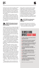fit when you're clear with your employer brand<br>and values from the outset," Talent Manage-<br>ment Director Kim Stewart of the First Citizens<br>Bank told The Business Journals. "Employees<br>feel more engaged and are more likely t and values from the outset," Talent Management Director Kim Stewart of the First Citizens Bank told The Business Journals. "Employees feel more engaged and are more likely to flourish when their values are aligned with those of their employer."

> Your mission, and how it impacts customers and employees, should be front and centre on your website. How does your mission come alive for staffers day-in and day-out? How does it challenge them professionally? Demonstrate how you practise your mission in how you treat your employees.

#### 2. **CREATE AN employee-focused culture, emphasising individual growth, flexibility**

Employees want to be at a company where their work is appreciated and they can make a difference, where their professional growth is actively enhanced, where their work schedules and locations are flexible, where work-life balance is valued, where they are paid competitively, where benefits enhance their lives, and where they have the opportunity for promotions and professional growth.

A recent study by talent mobility solutions company RiseSmart found that 84% of employees would consider leaving their current job to move to an employer with a fantastic reputation — even if the salary bump wasn't that big.

Another study found 80% of candidates would choose an employment offer with more flexibility, according to the International Workplace Group.

"That's a big number, and this is a big advantage for recruiters," wrote John Dawson, Director of Sales at recruitment tech firm Ideal. "They need to find ways to offer flexibility in different situations: Multiple young children (start/end times for work might need to be adjusted); ageing parents (same, with more remote flexibility); and remote work in general.

"If your HQ is in Toronto but the best person for your team is in Denver and they can't move right now, you should still find a way to bring them into the team," wrote Dawson. "Don't sacrifice candidate quality simply because of flexibility or location needs. We have enough technology — think about just Skype or Zoom — where these things can be managed successfully."

Hiring candidates with non-traditional educational backgrounds has also become increasingly common, Amy Warner, director of talent acquisition at recruitment software company iCIMS, told the Society of Human Relations Management (SHRM). "Recruiters are considering things like self-education, online schooling, certification programmes, and work experience when identifying potential employees. Employers are also investing in more training programmes to groom their own employees to have the skill sets needed to tackle jobs of the future."

#### 3. **GET YOUR best ambassadors involved in recruiting: Your employees**

From a job-seeker's point of view, the best referral about a company is from a trusted source: A friend or an employee inside an organisation. You can ensure that your staff are great

### THE IMPACT OF GIVING EMPLOYEES REGULAR FEE

**• 39% of employees report they don't feel appreciated at work**

 $\bullet$  **15% lower turnover rates in companies that have regular employee feedback** 

● Employees are 30 times more likely to be **actively engaged at work when managers focus on their strengths**

**e** Four of 10 employees are actively **disengaged when they receive little or no feedback**

l **43% of highly engaged employees receive feedback at least once a week**

**e** 65% of employees said they wanted **more feedback**

**• Only 58% of managers think they give enough feedback**

**Almost 70% of employees say they would work harder if they felt their efforts were better recognised**

**Source:** Workforce management company OfficeVibe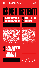

### 16 **INNOVATION**  the Very Best Talent How to Recruit

**IN MEDIA WORLD REPORT 2020-21**

**13 KEY RETENTI** 

1 **START WITH A SMART WITH A** 

**From their very first day, set up your new hires up for success with a thorough, well-planned on-boarding process. "Make sure that you aren't just teaching the new hire about their job role and responsibilities," said Rea Regan, Marcom Manager at employee management company Connecteam. "It is just as important to teach them about the company culture and how they can thrive every single day. Lay out goals for them, for their first week, first month, first three months, first six months and their first year. Make sure they have every opportunity to talk with you about questions or issues they have, set them up with a mentor." Patriot Software CEO Mike Kappel on Forbes.com wrote: "Done well, on-boarding can increase your employee retention rate. Done poorly, on-boarding can result in employees quitting within six months of starting."**

**3 PROVIDE THOUGHTFUL,<br>8 PROFESSIONAL**<br>ELECTRONOMIAL **PROFESSIONAL FEEDBACK ON A REGULAR BASIS**

**are done. However, make sure the mentor doesn't act like a supervisor. Instead, they are there for new hires to lean on, to be a sounding board, and to welcome them to the company culture." Mentor programmes have a quantifiable** 

**impact on retention. A study by mentoring software company MentorcliQ found a 13% retention increase among employees who have participated in just one mentoring relationship. "Bump that up to two mentoring relationships and retention increases by 18%," said MentorcliQ Senior Success Coach Nate Ward. "Of employees with two years or less at their current organisation, the turnover rate for those without a mentor is 26%, but for new employees with a mentor that number drops to 8%."**

**"Pair a new hire with a seasoned employee to ensure the greatest chance of employee retention," wrote Regan. "Your veteran employee will act as their best resource and vice-versa. The new hire can offer fresh eyes and a new perspective on how things** 

**22 CREATE A MENTOR**<br>**22 PROGRAMME PROGRAMME**

**A Society for Human Resource Management survey of managers found that only 2% were providing quarterly or ongoing feedback to employees. People crave feedback, and they need it more than once or twice a year. They want recognition of their efforts and advice on how to improve. (See sidebar on the impact of feedback.)**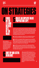INNOVATION<br>IN MEDIA<br>2020-21<br>2020-21

**13KEYRETENTI ONSTRATEGIES**



**Some employees disproportionately create or protect value. In a world of constrained resources, companies should focus their efforts on the few critical areas where the best people have the** 

**biggest impact.**

# 5**CREATE AN EMPLOYEE VALUE PROPOSITION (EVP)**

**An EVP is what employees get for what they give. What do you expect them to "give" in terms of time, effort, experience, ideas. What will they "get" in terms of tangible rewards, the way leadership helps employees, and the substance of the work. "If your EVP is truly stronger than the competition's, you will attract and retain the best talent," wrote Keller and Meaney. "But for three reasons, few companies have EVPs that meaningfully help them win this war:**

**1 The EVP is not distinctive: Stand out for something. Be unique in some way that reflects your special mission and your culture.** 

**2 The EVP is not targeted: While it's great to have an overall EVP, it's most important to have a winning EVP for the 5% of roles that matter most. If, for example, data scientists are hugely important, you'll want an EVP that lets them invent things, offers a clear, rapid career progression, and helps them have a big impact.**

**3 The EVP is not real: "An attractive EVP cooked up by HR and pushed through PR used to help secure the best talent," wrote Keller and Meaney. "In the long term, however, this was always a losing proposition, since great people would quickly become disillusioned if the reality didn't measure up."**

### 6**SHUT UP AND LISTEN. REGULARLY.**

**"We surveyed 13,551 employees for our 2020 Global Employee Experience Trends report and found that regular listening has a huge impact on employee engagement and employee retention," wrote Catherine Thurtle, a content strategist for experience management company Qualtrics. "For example, engagement rises to 61% for those whose company has a feedback programme, compared to 45% for those without."**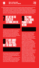

**Gaining engagement through listening pays big dividends: Highly engaged employees are 87% less likely to leave their companies than their less engaged counterparts, according to Qaultrics. "If you wait until an exit interview to find out why a valuable employee has decided to move on, you've missed a golden opportunity — not just to keep a productive member of your team but to identify and fix issues within your organisation before you lose others," wrote Rea Regan, the Marcom Manager at Connecteam. "Instead, touching base with employees about what motivates them while they're still on staff is part of a key strategy in gaining an edge in today's tight talent market: employee retention."**  $\rightarrow$ 



**"Don't bother asking for feedback if you're not going to analyse and act on the results," wrote Thurtle. "That can cause more harm than not asking at all. Why? Because then you're not really listening. "Your people will soon lose faith with the process if they don't see changes being implemented," she wrote. "There's very little in (and out) of the workplace that is as demoralising as being ignored."**



**Don't presume to know what perks your people want. Use the listening sessions to find out, and then try to offer the right ones. Doing that enables you to save money on under-utilised benefits AND create a better employee experience.**

**According to a study by LinkedIn, employees actually care most about healthcare coverage, PTO (paid time off), and flexibility. You could also offer working remote options, unlimited paid time off, help with daycare expenses, or time-shifting as a policy.**



**Ninety-four per cent of employees would stay at a company longer if it invested in their careers, according to LinkedIn's 2018 Workforce Learning Report. For 86% of millennials, offering career training and development would keep them from leaving, according to a survey by employee development company Bridge. The number one driver of employee engagement is having opportunities for growth, according to the Qualtrics 2020 Global Employee Experience Trends report. "Promoting from within not only provides a clear path to greater compensation and responsibility, it also helps employees feel that they're valued and a crucial part of the company's success," wrote Regan. High-skills training and professional development programmes to hone soft skills are perceived among the top benefits for retaining employees' services over the next five years, according to research from the Consumer Technology Association. "Whether by corporate training to help foster the acquisition of new skills, new technologies or new processes, or through tuition reimbursement for outside courses, furthering your employees' education can help them feel valued and invested in the company," Dan Pickett, CEO of managed services firm Nfrastructure, told Qualitrics.**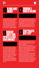

## **100 BE MORE FAMILY**<br>**FRIENDLY FRIENDLY**

## **12 ENCOURAGE A**<br>**MORK-LIFE BA WORK-LIFE BALANCE**

# **If we are not family friendly, we are driving**

**away people who could make a difference. For example, "43% of highly qualified women with children are leaving careers or off-ramping for a period of time," according to Facebook COO Sheryl Sandberg in her best-selling book Lean In. Many never return from maternity leave because their companies do not offer flexible work environments or on-site daycare facilities.** 



**No matter how gung-ho your employees may be, they still want to be paid fairly. Only one in five employees feels like they are fairly paid, according to a study by compensation software and data company PayScale. The irony is that "ultimately it could cost you more to find another employee than it would to simply give them a pay raise," according to Thurtle. "Not to mention the knowledge drain that comes with losing a valuable employee." To ensure your salaries are competitive, use third party data to get market rates in each speciality and compare them what you're offering. Also, watch out for gender pay gaps.** 

**"We recommend taking feedback and suggestions from staff regularly to find out what matters to them most, and what's negatively (and positively) affecting their work-life balance," wrote Thurtle. "As well as collecting ideas, you can measure staff responses against indicators of employee experience like intention to stay and eagerness to go to work each morning. Doing this will point towards the deeper** 

## **13 START PROJECTS WITH "STOP"**

**relationships between work-life-balance factors."**

**One of the speediest ways to depress morale and push employees toward the exit door is to pile new projects on top of old ones without removing any existing responsibilities.** 

**"There is no better way to crush the spirit of innovation than to bring together a group of creative thinkers, turn them loose to brainstorm, allow them to become excited about implementing some of these innovations … and then require them to add new projects to their existing workloads," wrote Frank Mungeam, a professor at the Knight-Cronkite News Lab at Arizona State University.**

**"There is no 'free time' today. Adding new activities without eliminating other tasks is a surefire way to sabotage a promising innovation," he wrote. "That's why smart managers start their innovation process by brainstorming a 'Stop Doing' list before they generate a 'Start Doing' list," wrote Mungeam. "They create capacity for innovation first. "The 'Stop Doing' list should include its best friend and neighbour, the 'Do Differently' list". "Together, they offer a potent path to creating capacity for new innovation."**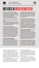# HOW TO CREATE AN EMPLOYEE REFERRAL SYSTEM

**An employee referral programme can be a superior recruiting tool: referred candidates are typically cheaper and faster to hire and stay at their jobs longer than traditional hires, according to global hiring platform Workable. How do you set up an employee referral program? Here's what Workable recommends:**

#### 1 **EXPLAIN OPEN JOBS AND THE REQUIRE-MENTS**

**Employees don't know what jobs their companies are looking to fill and what the requirements are. Include links to job descriptions when sending emails asking for referrals.**

#### 2 **KEEP EMPLOYEES UPDATED**

**Employees who refer candidates expect to receive updates on the process. Not hearing back can make employees reluctant to refer again, which undermines your employee referral programme. Let employees know what's happening at every stage. When a referred candidate isn't selected for an interview, send the referrer a thank-you email anyway. Encourage him or her to keep looking for great people. That way employees won't feel under-appreciated.**

#### 3 **OFFER A MIX OF MONETARY**

**AND NON-MONETARY INCENTIVES Money is a popular incentive, but offering an experience (eg trips, vouchers, gifts) can better market your employee referral programme. And some of these incentives, like time off and gift vouchers, are less expensive than cash awards. Give higher rewards for harder-to-fill** 

**positions. Offer a flat amount for each referral and then offer more if referred candidates get interviewed, get hired or stay at your company for at least six months. Pay some of the bonus after the new employee has been on board for six months or a year.**

4 **ACKNOWLEDGE GOOD REFERRERS In addition to rewards, publicly recognise effective referrers. If one employee has referred 10 people in the past three months, six of whom were hired, you've got a star referrer on your hands. Make sure they know you appreciate their effort. Any acknowledgement, ranging from an award to public praise from the CEO, can be meaningful. Make these acknowledgements a codified part of your referral programme policy.**

#### 5 **ENHANCE USER EXPERIENCE IN YOUR JOB APPLICATION PROCESS**

**Your referral process shouldn't be lengthy, complicated or require lots of clicks. Otherwise, you risk driving referrers away. Use a referral software program or platform that allows hiring managers and recruiters to send requests for referrals for particular positions. Some referral software systems enable employees to share open positions with their social network.**

**6 EXPERIMENT WITH REFERRAL TACTICS Survey employees to find out what prompted them to refer (or not refer) and what suggestions they have to improve your referral programme. A successful referral programme continues to adapt by making use of a variety of initiatives.**

referrals for potential hires by fulfilling task #2: Creating an employee-focused culture.

In fixing or enhancing your culture, you will not only be making your company more attractive to potential key hires, but you will also be making your existing employees happier. Happier employees usually stay longer and help you attract the best new hires by showing them that they could be happy there, too.

If your staff is happy, they might also be willing to be brand ambassadors and recruit new staff, especially if you show appreciation for their efforts with recognition of some sort, up

to and including signing bonuses.

So, before posting your position on job sites and thus opening the floodgates to countless unqualified applicants whose paperwork will consume your HR department's valuable time, tap in to your company's built-in chain of connections: Your staff.

Create "recruitment cards" touting the company's attractive culture and the benefits of working there, and hand them out to staffers along with the promise of some sort of reward for steering candidates your way (a cash bonus, gift cards, extra time off, etc.).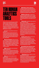

# **TEN HUMAN ANALYTICS TOOLS**

**Whatever Human Capital Management (HCM) system you have should control the trinity of talent acquisition, management, and optimisation — and ultimately, multiple mission-critical performance outcomes, according to HRTechnologist.com. Choosing the right solution for your organisation is essential. Here is its line-up of ten HCM systems to consider:**

#### 1 erecruit *A comprehensive search and analytics tool*

**Plugs into a variety of popular job boards. Processes data from thousands of job boards and companies to share vacancies right into employees' inbox. Claims that it drives placement by up to 30%. Offers automated reporting and extensive customisation.**

2 Phenom People *End-to-end recruitment experience management with robust analytics* **Data on candidate, employee, recruiter, and manager experience. Experience-centric perspective. Native artificial intelligence capabilities, including a bot for assisted hiring. In-depth recruitment insights — real-time data, drill-down capabilities, and ROI evaluation.**

#### 3Yello*Data analytics to help understand candidate expectations*

**Tools to optimise recruitment processes at the candidate sourcing, engagement, and completion stages. Different business use cases. Essential KPIs. Centralised repository of recruitment-related information. Optimised for mobile.** 

#### 4Saba*Recruitment analytics for your unique industry*

**Variety of industry types. Real-time insights. Fully configurable dashboards. Customised data sources and reporting fields. Trend identification, multi-device access, third-party connectivity, automated reporting features.**

#### 5IBM Watson Recruitment

*The power of AI meets recruitment analytics* **An industry leader. Focused on diversity and inclusion. Analytics detect bias in hiring process. Predicts the success rate for a candidate profile. Prioritises job requisitions based on urgency.**

6Bullhorn Canvas*An advanced reporting and insight generation tool for recruiters* **Applicant tracking, executive search, candidate relationship management, and on-boarding. Build any report/dashboard you need. Reports easy to share.**

#### 7 Talismatic*Competitor hiring analysis to gain a market advantage*

**Offers what your competitors are doing. Trending cities, hiring cycles, and the quality of candidates hired by industry peers can provide valuable insights into where your organisation stands on the hiring efficiency curve. A dedicated data analytics solution for recruitment. Not an add-on to 360-degree hiring software. Assess historical recruitment performance. Identify the right cities, job boards, and universities most likely to deliver high-quality talent. Dashboard gives historical insights on past hiring cycles, zeroing in on underachieving posts and overlong closing times.**

#### 8Kallidus Recruit*Recruitment software with analytics at every step*

**For in-house recruitment teams.The recruitment journey from application to on-boarding. Automates the admin-heavy parts of the journey. Shows data on active requisitions, available candidates, and closed requests. Also succession planning, targeted content, learning management, and performance reviews.**

#### 9SmashFly Recruitment Ana-

lytics*Data analytics for business users* **Minimalist dashboards with clear insights. View the ROI after every candidate journey. Predictive analytics to measure the health of your talent pipeline. Direct correlations between candidate personas and specific job boards.**

#### 10TalentLyft*Deeper insights on recruiting campaign performance*

**Identifies which campaigns and recruitment marketing tactics are the most successful. Support for inbound and outbound channels. Performance metrics on email campaigns, conversion tracking, and historical data analytics. Analyses your careers site with top-performing pages, callto-action effectiveness, etc.**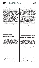

You could also expand your social footprint and get your brand in front of the right talent through content shared by your employees on their own social accounts. "Mobilise your employees into an army of brand ambassadors," said Allison Kruse, social media director at staffing and solutions firm Kforce. "Consistently deliver content to them in a format that is easy for them to share with their networks. And when employees share content with their networks, they are shaping the perception others have about you as an employer. It will not only exponentially increase your company's digital footprint, but the content will also perform better because people tend to trust their peers over brands."

The unspoken and powerful filter in this approach is that no staffer is going to recommend someone who will make them look bad. Everyone will know who recommended the candidate and it's their reputation on the line.

"A downside to referrals, of course, is that they can lead to a homogeneous workforce, because the people we know tend to be like us," wrote Wharton's Cappelli. "This matters greatly for organisations interested in diversity."

#### MARKETING YOUR COOL NEW COMPANY CULTURE

Now that your company is irresistibly attractive, it's time to market yourself, whether you're in the market for new staff or not (actually, you should ALWAYS be looking for great people to build your portfolio of candidates so you're not scrambling at the last minute and risking having to settle for less due to the pressure of time).

But you're not going to start by taking out ads or doing any other traditional marketing.

"With more open jobs than people to fill them and the market at near full employment, recruiters are finding new ways to reach candidates where they are — whether that's on Instagram or via text," recruiting software company Jobvite VP/Marketing Matt Singer told SHRM.

"Employers are creating new roles dedicated to recruitment marketing to effectively promote their culture and values and attract wellfit candidates because recruiting is harder than ever before," Amy Warner told SHRM.

"The candidate journey is influenced at every stage by marketing strategies — search engine optimisation, landing page conversion optimi-

sation, digital marketing, content marketing, social media engagement, reputation management," Lori Sylvia, founder and CEO of Rally Recruitment Marketing, told SHRM. "Recruiters [in HR departments] who fall behind in using digital and social strategies are going to get left behind, not to mention put their employers at a huge disadvantage in the competition for talent."

The top ways companies grow employer brand are through social media (47%) and their careers sites (21%), according to the most recent Recruiter Nation Survey from recruiting tech company Jobvite. LinkedIn is the most used channel for recruitment efforts, used by 77% of respondents (down from 92% in 2017 with more companies using other sources like Instagram), followed by Facebook (63%).

"Recruiters are turning to social media platforms where they know potential candidates are more active," Jobvite's Matt Singer said. "This might explain why more recruiters are turning to Facebook and Instagram. Instagram's popularity with job seekers is increasing its use with recruiters, especially millennial recruiters and those working at technology companies."

#### WHAT ARE YOU PUTTING ON YOUR WEBSITE AND ON SOCIAL MEDIA?

"Content has the power to help potential candidates decide whether or not they are a fit for your company," said Kforce's Kruse. "Candidates are savvy internet researchers and use a number of sources when searching for jobs and evaluating potential employers."

"By strategically creating and curating content that maps to every stage of the candidate journey, you can answer their questions, provide an inside view into your organisation, tell true stories, and more," Kruse said.

"Companies with a competitive advantage are sharing compelling content (not just posting jobs) that adds value — including why working at their organisation is different from working at similar companies, which helps guide a candidate's decision to apply or accept an offer," Kruse explained. "Content can make or break your talent attraction strategy."

But social media is not the end of what you need to be doing differently in marketing your company to potential hires.

"If you're not leveraging technology and in-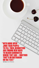

 $35/$ 

23 **INNOVATION** 

汤  $\ddot{\sim}$ 

 $4/$ 

 $\mathcal{S}$ 

ä

 $\mathcal{E}$ 

 $\circ$ 

R

Ŝ

G

8

 $\dot{M}$ 

 $\cal Q$ 

4

 $\mathbf{r}$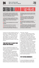# CRITERIA FOR A HUIMAN ANALYTICS SYST

**Any HR analytics solution that will be used at scale must have certain components, according to HRTechnolgist.com. Here is its list of key features of an HR analytics solution:**

1 **Answer the business questions the C-suite asks. Choose a unified solution that can assess multiple metrics to answer each business question.**

2 **Easy to use by individuals who are not data scientists.**

3 **Cloud-based rather than on-premise.**

4 **Powered with statistical analysis and machine learning technology. This allows the** 

novation in your talent acquisition strategy, you risk being at a competitive disadvantage," said Karissa Sachs, VP/Digital Strategy at Kforce. "Pixels, chatbots,  $AI$  — oh my! In theory, it's quite simple; how can you get in front of the right candidates, at the right time, with the right message and make it easy for them to apply? Technology will continue to answer this question."

#### THEN YOU'VE GOT TO MAKE YOUR MARKETING PERSONAL

Once you've identified the best places to go looking for talent, start personalising your campaign, to the point of creating personas to guide your content creation team.

"In-demand candidates are beginning to expect a unique and personalised recruiting approach," said Sachs. "This means that recruitment will have to evolve from a transaction-driven activity to a relationship-building process with an emphasis on providing a highly customised candidate experience.

"Similar to how marketers use buyer personas as a representation of a business's ideal customers, recruiters and talent acquisition professionals can create candidate personas to develop a strategy focused on exactly who you

**technology to learn and reason autonomously, revealing insights that data scientists can then analyse.**

5 **Based on predictive analytics. Ability to extract information from existing data sets to determine patterns and forecast future outcomes.**

6 **Powered with visualisation technology. Allows for better understanding of trends and events.**

7 **Available through a subscription model. They allow you to easily access the latest upgrades and eliminate the significant upfront expense of purchasing an analytics solution.**

need to hire," said Sachs.

"From there, a highly targeted recruiting strategy can be developed to identify, recruit and motivate these individuals," Sachs explained. "What type of content will best resonate with them? How can the job description be optimised to increase application conversion rate? What does their digital footprint look like so that you know where to advertise?"

Using data about your own and other professionals in different skill areas, you can include the unique interests typical of these target groups in your recruitment campaign. "A leading IT company once told me that one of their most successful recruitment ads for software engineers called for people who 'could pull the ears off a gundark' — an obscure Star Wars reference they knew would resonate with their target group," said Richard Mosley, VP of Strategy at global talent research firm Universum. "These persona-oriented profiles make it easier to market content to specific target groups, and help you find the right talent."

#### TRY TEXTING (SERIOUSLY!)

Everyone in the hiring process appreciates speed: Speedy applications. Speedy replies. Speedy updates. Speedy decisions. There is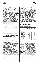nothing more speedy than texting. Forty-three per cent of recruiters responding to a Jobvite survey said they have texted candidates and applicants, and 88% report positive feedback from job seekers.

"Recruiters and job seekers both value their time, so the need for faster hiring has made text messages and chat even more important than the traditional communication channels like e-mails or phone calls," Warner said.

Meghan McFee, a manager and recruiter for staffing firm WinterWyman's technology division, slowly began using texts a few years ago, but the option has since become indispensable since her company implemented a texting platform that integrates with her business phone and applicant tracking system.

"It's been terrific for scheduling and quickly getting in touch with people," McFee told SHRM. "Especially for candidates who are working, it can be very effective in getting a faster response, and it's gotten great feedback from our recruiters." Before texting candidates the first time, you should ask permission, she cautioned.

#### DEFENSIVE MARKETING: WATCH YOUR BACK BY MONITORING (AND NURTURING) REVIEW SITES

In this super-connected world, part of your brand building (or brand destruction) is happening without any input from you… unless you decide to be proactive.

While you're busy marketing your company's cool new culture on Facebook, LinkedIn, and Instagram, your target candidates are cruising anonymous employer review sites to see what life is like inside your company.

Seventy-five per cent of recruiters told Jobvite that Glassdoor reviews are very or somewhat important in the hiring process. "While consumer brands quickly realised the power of reviews as either third-party endorsements or sound chambers for services and product features that needed fixing, employers have been a little slower to adopt this mindset," Christopher Kurtz , CEO of employment brand PeerThru, told SHRM. "This can be especially true in companies that are run by executives who are not digital natives and have yet to fully realise the value of the insights and feedback being delivered for free."

Third-party sites like glassdoor.com now

offer staffers, former staffers, and job applicants the opportunity to rate your company on all sorts of criteria, from overall reviews to specific topics such as salaries, benefits, and job interviews. Employees or former employees get to give your company a star ranking (from 1-5), rate the CEO, and answer the question: "Would you recommend the company to a friend?". The respondents range from entry-level to top management. Applicants get to rank the interview process. The results are revealing and, too often, disturbing and damaging.

Here are some random examples of Glassdoor rankings of several publishing companies (these numbers were gathered in late December 2019):

### GLASSDOOR.COM COMPANY RATINGS

| COMPANY                        | Overall<br>Rating (1-5) | Approve<br>of CEO | Recommend<br>to a friend | Negative or<br>neutral job<br>inferview |
|--------------------------------|-------------------------|-------------------|--------------------------|-----------------------------------------|
| <b>Conde Nast U.S.</b>         | 28                      | 70%               | 36%                      | 52%                                     |
| Meredith Corp. U.S.            | 31                      | 67%               | 48%                      | 49%                                     |
| <b>Hubert Burda Germany</b>    | 3.2                     | 93%               | 36%                      | 25%                                     |
| <b>India Today India</b>       | 3.2                     | 100%              | 68%                      | 44%                                     |
| <b>Editora Abril Brazil</b>    | 3.2                     | No ratings        | 62%                      | 26%                                     |
| <b>SCMP</b> Hong Kong          | 36                      | 74%               | 48%                      | 25%                                     |
| <b>Dennis Publishing UK</b>    | 40                      | 97%               | 61%                      | 31%                                     |
| <b>Bonnier Corp. Sweden</b>    | 2.5                     | 45%               | 34%                      | 27%                                     |
| <b>Mondadori Italy</b>         | 2.8                     | 31%               | 37%                      | 67%                                     |
| <b>TVA Publications Canada</b> | 23                      | 14%               | 20%                      | 50%                                     |
| <b>Bauer Media Germany</b>     | 32                      | 47%               | 52%                      | 26%                                     |

Would you agree that all but a few of those companies have a problem? If you were approached by a recruiter to work at one of the companies where only 34-37% or just barely 50% of the staff reviewers would recommend the company to a friend, would you even bother with an interview? Those companies might be doing a slam-bang marketing job and spending a good deal of time and money on a branding campaign to convince potential employees what a great place it is to work. But all that work is eviscerated by these ratings, cutting the legs right out from under any PR campaign.

It's not all bad news: Those rating numbers aren't just static grades with no context. Each current or former staffer or job candidate who writes a review ends it with a list of pros and cons, followed by their "Advice to Management". Sure, some are negative and nasty, but some suggestions are solid and give managers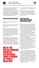

a clear picture of how they could improve their culture, conditions, benefits, training programmes, communication, etc. Free advice!

So, if you aren't aware of these sites, you could be getting stabbed in the back, undermined by unhappy employees or scorned applicants, and not even know how badly your marketing efforts are being torpedoed. (See sidebar on "Employee review sites you need to know about".)

#### HOW DO YOU WATCH YOUR BACK?

PeerThru's Kurtz suggests the following fourstep process:

1. Follow your profiles on Glassdoor, Indeed etc. and sign up to receive notifications of reviews as they come in.

2. Develop a plan for responding to reviews both internally and externally. "Having a plan helps take the guesswork out of which reviews need to be triaged immediately and by whom, and which are OK to let simmer," Kurtz said. "And remember, if people outside of your company are reading reviews, your employees are likely reading them as well."

3. Encourage more reviews by addressing and responding to them, not just by asking for them. "Blanketing the company with a request for reviews is not a good idea," Kurtz said. "People by nature are suspicious. Asking for specifically positive reviews is fundamentally flawed." You could talk to your employees about how valuable those reviews can be for potential

### ONE OF THE RANN TRENDS IN THE HR WORLD TODAY IS KNOWN AS "PEOPLE ANALYTICS"

new hires and suggest that if they are comfortable adding their reviews, you'd appreciate it.

4. Other traps include trying to respond to every review or engaging in shady practices for gathering reviews. "Don't offer bribes for positive reviews," Kurtz said. "Along those same lines, do not pay a third party to write positive reviews for you."

#### HUMAN ANALYTICS: WHAT ARE THEY AND HOW SHOULD YOU USE THEM?

One of the fastest-growing trends in the HR world today is known as "people analytics," or the data analysis techniques applied to understanding and improving processes that affect employees, job-seekers, performance management, and everything human capital, wrote Isabella Lazzareschi, Content and Managing Editor at education tech company Degreed.

"When specifically applied to hiring, people analytics can help save you money, increase efficiency, and cut down on wasted time on recruitment efforts," she wrote. Here is her list of what human analytics can do for a company in terms of recruitment alone:

- Assess which talent pipelines are most successful, so you can appropriately allocate spending to optimise successful recruitment
- $\bullet$  Identify recruitment cycles to help determine when to spend money actively searching for candidates and when to slow down
- **Analyse market rates to remain competitive** in recruiting and retaining top talent
- $\bullet$  Keep a pulse on your current employees to examine racial, ethnic, and gender diversity in your existing workforce to ensure you're offering equal opportunities to all

"When applied to the hiring process, data analytics can remove human biases by isolating objective traits in applications and identifying candidates with appropriate backgrounds," wrote Lazzareschi. "And beyond just minimising prejudice, proper analysis tools can actually promote diversity within your company by finding applicants with appropriate skill sets, but atypical backgrounds or work experiences. This is along the lines of hiring for a 'culture-add' rather than a 'culture-fit', but using more direct techniques to ensure you're finding the best candidate for the job."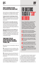#### WHAT'S CAUSING THE RISE IN THE USE OF DATA ANALYTICS?

The rise in the use of analytics has been caused by three main factors, according to Ideal, an artificial intelligence-focused talent system company:

1. **Improvements in technology and software** has caused an explosion in data and data analytics. This adoption has been seen recently in the transformation of sales and marketing departments.

2. **The need for measurable outcomes:** 

HR departments are increasingly being asked to justify their decisions based on measurable outcomes. This has led to the push for business decisions to be made based on analytics and data rather than just using gut instinct and subjective judgment.

#### 3. **The stunning rise in the collection of**

**staff data:** Most HR departments are sitting on mountains of data about their employees including demographic data, performance data, job history, compensation, and training. Until recently, this data had yet to be effectively and strategically leveraged.

#### THREE MAIN TYPES OF TALENT-RELATED DATA THAT CAN BE ANALYSED, ACCORDING TO IDEAL, ARE:

1. People data such as demographics, skills, and engagement.

2. Programme data such as attendance, adoption, participation in training and development and leadership programmes, and outcomes of key projects and assignments.

3. Performance data such as performance ratings and data captured from the use of instruments such as 360 assessments and succession programmes.

"Recruitment analytics is defined as the use of statistical models to make sense of the vast amount of data collected across the hiring process, enabling meaningful data-driven recruitment," according to HRTechnologist.com.

# FIVE UUESTIU  $\mathsf{N}$  and  $\mathsf{N}$ INTERVIEW

**If you are doing what we suggested earlier (holding regular small-group and oneto-one "listening" sessions), one of those sessions should focus on how to get the employees you want to keep to stay. Here are questions that could help you make that happen from Catherine Thurtle of experience management company Qualtrics:** 

**1 Which aspects of your job make you eager to come to work each day? Which aspects do you not look forward to?**

**2 How well do you believe your talents are being utilised? What skills do you possess that you feel aren't being utilised?**

**3 What are you career aspirations? How are we doing in helping you accomplish them here?**

**4 Have you ever thought about leaving the company? If so, what caused you to consider leaving? Why did you decide to stay?**

**5 What are the biggest challenges you face? Is there anything you'd like to change about your job? Are there things you would like to change about your team or department?**

"You could have historical analytics (generating insights from past data), real-time analytics (in the moment notifications and alerts), predictive analytics (measuring future possibilities), and prescriptive analytics (suggesting the way forward)," according to HRTechnologist.

Research suggests that most companies are still using inefficient recruitment processes. Ac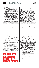cording to HRTechnologist, data analytics can:

- **Provide valuable insights on which talent sources are performing the best**, the effectiveness of internal versus external hiring, and any preventable costs incurred.
- **e** Redefine the candidate experience by pinpointing problem areas and high-performing touch-points along the way.
- **Refine your talent acquisition and recruitment strategy** to the point where each recruitment effort is productive and optimised for measurable results.

Research featured in The Harvard Business Review found that using an algorithm increases the ability of recruiters to find the best qualified candidates by more than 50%.

The benefits of human analytics to recruitment include:

- $\bullet$  Reducing time-to-hire by replacing manual processes
- $\bullet$  Increasing quality of hire by avoiding unconscious biases early in the hiring process
- Collecting recruiting and hiring data that can be correlated with business outcomes such as increased revenue

"Of course, the final hiring decision will always come down to a human, but data and analytics can save a lot of time by narrowing the field down from maybe hundreds of candidates to the most suitable 10 or 20," wrote business author Bernard Marr on Forbes.com. "This automation of certain processes frees up the HR team to focus on other activities."

Analytics have also shown downstream benefits in HR:

- $\bullet$  Attrition rates decreased by 35%
- Performance increased by 20%
- $\bullet$  Revenue per employee improved by  $4\%$

It would not be surprising to know that some HR departments resist using data-based recruiting methods for fear of having their expertise

### OU STILL<br>IIMAN RFI HUMAN BEINGS TO CARFFII **ANALYSE THE DAT**

questioned.

And there are concerns about the fast-growing field.

"A problem with machine learning approaches is that few employers collect the large volumes of data — number of hires, performance appraisals, and so on — that the algorithms require to make accurate predictions," wrote Wharton School Professor Cappelli. "Although vendors can theoretically overcome that hurdle by aggregating data from many employers, they don't really know whether individual company contexts are so distinct that predictions based on data from the many are inaccurate for the one.

"Another issue is that all analytic approaches to picking candidates are backward looking, in the sense that they are based on outcomes that have already happened," he wrote. "As Amazon learned, the past may be very different from the future you seek. It discovered that the hiring algorithm it had been working on since 2014 gave lower scores to women because historically the best performers in the company had disproportionately been men. So the algorithm looked for people just like them. Unable to fix that problem, the company stopped using the algorithm in 2017. Nonetheless, many other companies are pressing ahead."

Even if you use human analytics (and make accommodations for the above-cited weaknesses), you still need human beings to exercise their judgment and expertise to carefully analyse the data, to put it in the context of the company and the particular job, and then to decide how to use the data. Human critical thought and analysis cannot be replaced by algorithms, just enhanced by them.

Remember when we talked about crafting your mission and culture statements to make your company appealing to potential recruits. Data can help there, too.

In creating your mission and culture statements, you want to answer the questions:

- $\bullet$  What do you want your company to stand for?
- $\bullet$  How do you want employees to feel about working for the company?
- $\bullet$  What makes you different from other employers?

Once you have your vision, you can use data and analytics to determine if your brand image actually matches the reality of the experience of working at your company.

"You can, for example, conduct sentiment analysis on interview and survey responses and social media posts to establish how success-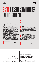# F GIOBSBEN I ANII FI EMPLOYEES RATE YOU

**These employer review sites are both a curse and a blessing.** 

**They are a curse because you don't have any control over the content, and because disgruntled employees or former employees can publicly air their grievances, whether they are legitimate or not.**

**They are a blessing because if you run a truly employee-focused business, your employees will reward you with great ratings, which then serve to attract potential new hires (these sites are one of the first places people go to when they are researching a company to work for or when a company approaches them about a job). You should subscribe to many or all of these services so you will get notifications whenever a review is posted. With quick notification, you can respond to both good and bad reviews. Look at these sites as one way of monitoring your performance as a good employer (analysis from FairyGodBoss.com, a women's career site):**

#### GLASSDOOR

**1 The best-known website for employee reviews. A huge number of contributors who rate their CEOs, provide open-ended reviews, list pros and cons, and leave advice for management.**

#### INDEED

**2**<br>**Best**<br>**posti**<br>**compared cons. Best known for aggregating millions of job postings but it also provides job reviews, company ranking (a 5-star scale), and pros** 

**13 YAULT**<br>
Famous for its industry rankings based on<br>
employee survey answers. Offers access to<br>
premium research in exchange for em-<br>
ployee reviews with "uppers" and "downers" and VAULT **Famous for its industry rankings based on employee survey answers. Offers access to premium research in exchange for emcomments.**

#### **FAIRYGODBOSS**

**FAIRYGODBOSS**<br>Aggregates female employees' job satifaction. Also whether women think the<br>company treats men and women equal<br>and fairly, and would they recommend their **Aggregates female employees' job satisfaction. Also whether women think their company treats men and women equally employer to other women.**

#### **CAREERBLISS**

**SAF**<br>
Employ<br>
open-e<br>
compa<br>
setting, etc. **Employee reviews (a 5-star system), and open-ended commentary, scores for company culture, colleagues, working** 

ful your employer brand really is," wrote Marr. "Short, anonymous pulse surveys can tell you how likely employees are to recommend the company to others. Crucially, instead of taking the temperature once a year in a big staff survey, or asking the question in exit interviews, pulse surveys allow you to ask employees once a week, one a month or once a quarter to get a stronger sense of how they're feeling throughout the year."

For more help on understanding and using human analytic systems, see the sidebars on

"Ten human analytics systems" and "Criteria for choosing a human analytics system".

#### AFTER YOU MAKE OFFERS, SOLICIT FEEDBACK ON YOUR CANDIDATE'S EXPERIENCE

"Companies that understand the value of soliciting feedback about their candidate experience,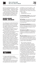

know how to quantify and measure it — and perhaps most importantly, to frame their strategy around those insights — will beat their competition in the war for talent," said KForce's Sachs.

"Using tools that produce valuable feedback enables organisations to identify areas of improvement throughout the candidate experience, allowing them to strategise a plan to become an employer of choice," she wrote.

#### MEASURE, MEASURE, MEASURE… AND ANALYSE

"Few employers know which channel produces the best candidates at the lowest cost because they don't track the outcomes," wrote Wharton's Cappelli. "Monitor recruiting channels and employees' performance to identify which sources produce the best results.

"It's impossible to get better at hiring if you can't tell whether the candidates you select become good employees," he wrote.

You must measure which hiring practices and platforms produce the best employees.

"Why is that not getting through to companies?" asked Cappelli. "Surveyed employers say the main reason they don't examine whether their practices lead to better hires is that measuring employee performance is difficult. Surely this is a prime example of making the perfect the enemy of the good. Some aspects of performance are not difficult to measure: Do employees quit? Are they absent? Virtually all employers conduct performance appraisals. If you don't trust them, try something simpler. Ask supervisors, 'Do you regret hiring this individual? Would you hire him again?'"

"Organisations that don't check to see how well their practices predict the quality of their hires are lacking in one of the most consequential aspects of modern business," he concluded.



It's a human capital double whammy.

In addition to the massive recruitment challenge, media companies are also facing an employee retention crisis.

More employees than ever before are voluntarily leaving their jobs. In the United States, for example, the most workers since 2001 —

3.58 million or 2.4% of the workforce — quit their jobs in July 2019, according to the Job Openings and Labor Turnover Survey. That's almost 115,484 a day. Or almost 4,812 an hour! In the U.S. alone.

What's going on? At least five forces are at work:

1. **A strong labour market.** In many countries, there are more skilled job openings than there are people with those skills.

2. **Poaching:** Census data shows, for example, that the majority of people who took a new job last year weren't searching for one: Somebody came and got them.

3. **Employee dissatisfaction:** Half of all employees feel like they only have jobs, not careers, and 32% of all employees plan to leave their jobs before the end of 2020, according to a recent CareerBuilder survey.

4. **Greater job mobility:** Related surveys report that 73% of employees are "thinking about another job" and that 43% were more likely to consider a new one than they had been a year earlier.

5. **Lack of loyalty:** Millennials are far less loyal to their employers than their parents were. In the U.S., the Bureau of Labor Statistics reported that workers now stay at each job, on average, for 4.4 years, but the average expected tenure of the youngest workers is about half that.

Why is retention so important?

"People often underestimate the cost of turnover: the more information- and interaction-intensive the job, the greater the threat to productivity when good people leave it, and the more time and money must be invested in searching and on-boarding," wrote McKinsey's Keller and Meaney. "And if competitors poach your talent, they get an insider's understanding of your strategies, operations, and culture.

"And the scarcer top talent becomes, the more companies that aren't on their game will find their best people cherry-picked by companies that are," they wrote.

In addition to the time and effort of hiring, Wharton Business School Professor Matthew Bidwell found that outside hires take three years to perform as well as internal hires in the same job, while internal hires take seven years to earn as much as outside hires are paid, wrote Professor Cappelli.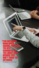### FEW EMPLOYERS "KNOW WHICH CHANNEL PRODUCES THE BEST CANDIDATES AT **THE LOWEST COST<br>BEGAUSE THEY** BECAUSE THEY DON'T TRACK THE **TCOMES."**

31 **INNOVATION** 

Peter Cappelli Wharton Business School